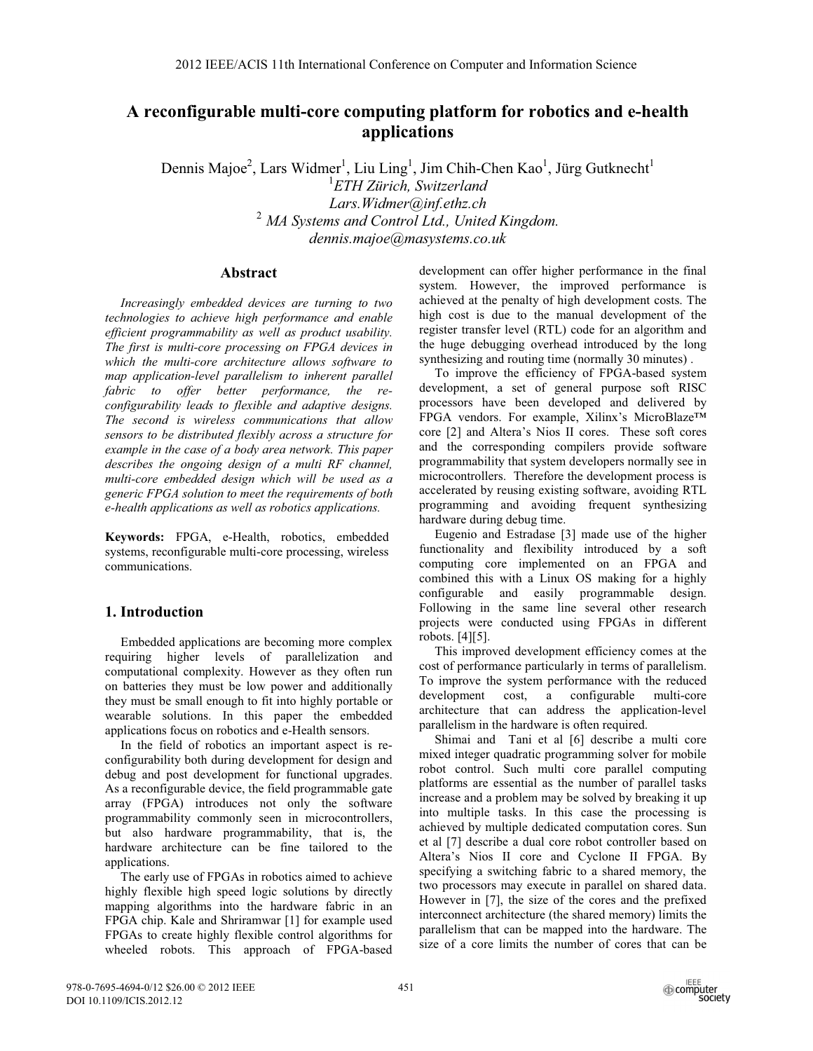# **A reconfigurable multi-core computing platform for robotics and e-health applications**

Dennis Majoe<sup>2</sup>, Lars Widmer<sup>1</sup>, Liu Ling<sup>1</sup>, Jim Chih-Chen Kao<sup>1</sup>, Jürg Gutknecht<sup>1</sup> *ETH Zürich, Switzerland Lars.Widmer@inf.ethz.ch*  <sup>2</sup> *MA Systems and Control Ltd., United Kingdom. dennis.majoe@masystems.co.uk* 

# **Abstract**

*Increasingly embedded devices are turning to two technologies to achieve high performance and enable efficient programmability as well as product usability. The first is multi-core processing on FPGA devices in which the multi-core architecture allows software to map application-level parallelism to inherent parallel fabric to offer better performance, the reconfigurability leads to flexible and adaptive designs. The second is wireless communications that allow sensors to be distributed flexibly across a structure for example in the case of a body area network. This paper describes the ongoing design of a multi RF channel, multi-core embedded design which will be used as a generic FPGA solution to meet the requirements of both e-health applications as well as robotics applications.*

**Keywords:** FPGA, e-Health, robotics, embedded systems, reconfigurable multi-core processing, wireless communications.

# **1. Introduction**

Embedded applications are becoming more complex requiring higher levels of parallelization and computational complexity. However as they often run on batteries they must be low power and additionally they must be small enough to fit into highly portable or wearable solutions. In this paper the embedded applications focus on robotics and e-Health sensors.

In the field of robotics an important aspect is reconfigurability both during development for design and debug and post development for functional upgrades. As a reconfigurable device, the field programmable gate array (FPGA) introduces not only the software programmability commonly seen in microcontrollers, but also hardware programmability, that is, the hardware architecture can be fine tailored to the applications.

The early use of FPGAs in robotics aimed to achieve highly flexible high speed logic solutions by directly mapping algorithms into the hardware fabric in an FPGA chip. Kale and Shriramwar [1] for example used FPGAs to create highly flexible control algorithms for wheeled robots. This approach of FPGA-based

development can offer higher performance in the final system. However, the improved performance is achieved at the penalty of high development costs. The high cost is due to the manual development of the register transfer level (RTL) code for an algorithm and the huge debugging overhead introduced by the long synthesizing and routing time (normally 30 minutes) .

To improve the efficiency of FPGA-based system development, a set of general purpose soft RISC processors have been developed and delivered by FPGA vendors. For example, Xilinx's MicroBlaze™ core [2] and Altera's Nios II cores. These soft cores and the corresponding compilers provide software programmability that system developers normally see in microcontrollers. Therefore the development process is accelerated by reusing existing software, avoiding RTL programming and avoiding frequent synthesizing hardware during debug time.

Eugenio and Estradase [3] made use of the higher functionality and flexibility introduced by a soft computing core implemented on an FPGA and combined this with a Linux OS making for a highly configurable and easily programmable design. Following in the same line several other research projects were conducted using FPGAs in different robots. [4][5].

This improved development efficiency comes at the cost of performance particularly in terms of parallelism. To improve the system performance with the reduced development cost, a configurable multi-core architecture that can address the application-level parallelism in the hardware is often required.

Shimai and Tani et al [6] describe a multi core mixed integer quadratic programming solver for mobile robot control. Such multi core parallel computing platforms are essential as the number of parallel tasks increase and a problem may be solved by breaking it up into multiple tasks. In this case the processing is achieved by multiple dedicated computation cores. Sun et al [7] describe a dual core robot controller based on Altera's Nios II core and Cyclone II FPGA. By specifying a switching fabric to a shared memory, the two processors may execute in parallel on shared data. However in [7], the size of the cores and the prefixed interconnect architecture (the shared memory) limits the parallelism that can be mapped into the hardware. The size of a core limits the number of cores that can be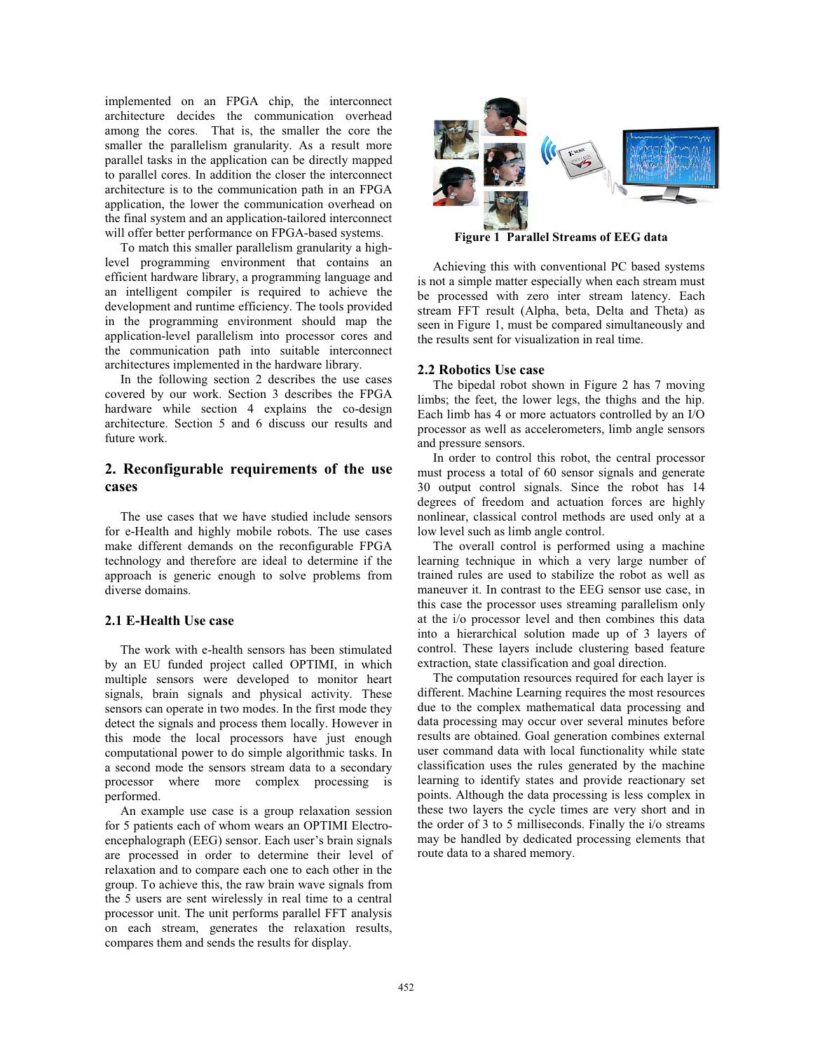implemented on an FPGA chip, the interconnect architecture decides the communication overhead among the cores. That is, the smaller the core the smaller the parallelism granularity. As a result more parallel tasks in the application can be directly mapped to parallel cores. In addition the closer the interconnect architecture is to the communication path in an FPGA application, the lower the communication overhead on the final system and an application-tailored interconnect will offer better performance on FPGA-based systems.

To match this smaller parallelism granularity a highlevel programming environment that contains an efficient hardware library, a programming language and an intelligent compiler is required to achieve the development and runtime efficiency. The tools provided in the programming environment should map the application-level parallelism into processor cores and the communication path into suitable interconnect architectures implemented in the hardware library.

In the following section 2 describes the use cases covered by our work. Section 3 describes the FPGA hardware while section 4 explains the co-design architecture. Section 5 and 6 discuss our results and future work.

# **2. Reconfigurable requirements of the use cases**

The use cases that we have studied include sensors for e-Health and highly mobile robots. The use cases make different demands on the reconfigurable FPGA technology and therefore are ideal to determine if the approach is generic enough to solve problems from diverse domains.

# **2.1 E-Health Use case**

The work with e-health sensors has been stimulated by an EU funded project called OPTIMI, in which multiple sensors were developed to monitor heart signals, brain signals and physical activity. These sensors can operate in two modes. In the first mode they detect the signals and process them locally. However in this mode the local processors have just enough computational power to do simple algorithmic tasks. In a second mode the sensors stream data to a secondary processor where more complex processing is performed.

An example use case is a group relaxation session for 5 patients each of whom wears an OPTIMI Electroencephalograph (EEG) sensor. Each user's brain signals are processed in order to determine their level of relaxation and to compare each one to each other in the group. To achieve this, the raw brain wave signals from the 5 users are sent wirelessly in real time to a central processor unit. The unit performs parallel FFT analysis on each stream, generates the relaxation results, compares them and sends the results for display.



**Figure 1 Parallel Streams of EEG data** 

Achieving this with conventional PC based systems is not a simple matter especially when each stream must be processed with zero inter stream latency. Each stream FFT result (Alpha, beta, Delta and Theta) as seen in Figure 1, must be compared simultaneously and the results sent for visualization in real time.

# **2.2 Robotics Use case**

The bipedal robot shown in Figure 2 has 7 moving limbs; the feet, the lower legs, the thighs and the hip. Each limb has 4 or more actuators controlled by an I/O processor as well as accelerometers, limb angle sensors and pressure sensors.

In order to control this robot, the central processor must process a total of 60 sensor signals and generate 30 output control signals. Since the robot has 14 degrees of freedom and actuation forces are highly nonlinear, classical control methods are used only at a low level such as limb angle control.

The overall control is performed using a machine learning technique in which a very large number of trained rules are used to stabilize the robot as well as maneuver it. In contrast to the EEG sensor use case, in this case the processor uses streaming parallelism only at the i/o processor level and then combines this data into a hierarchical solution made up of 3 layers of control. These layers include clustering based feature extraction, state classification and goal direction.

The computation resources required for each layer is different. Machine Learning requires the most resources due to the complex mathematical data processing and data processing may occur over several minutes before results are obtained. Goal generation combines external user command data with local functionality while state classification uses the rules generated by the machine learning to identify states and provide reactionary set points. Although the data processing is less complex in these two layers the cycle times are very short and in the order of 3 to 5 milliseconds. Finally the i/o streams may be handled by dedicated processing elements that route data to a shared memory.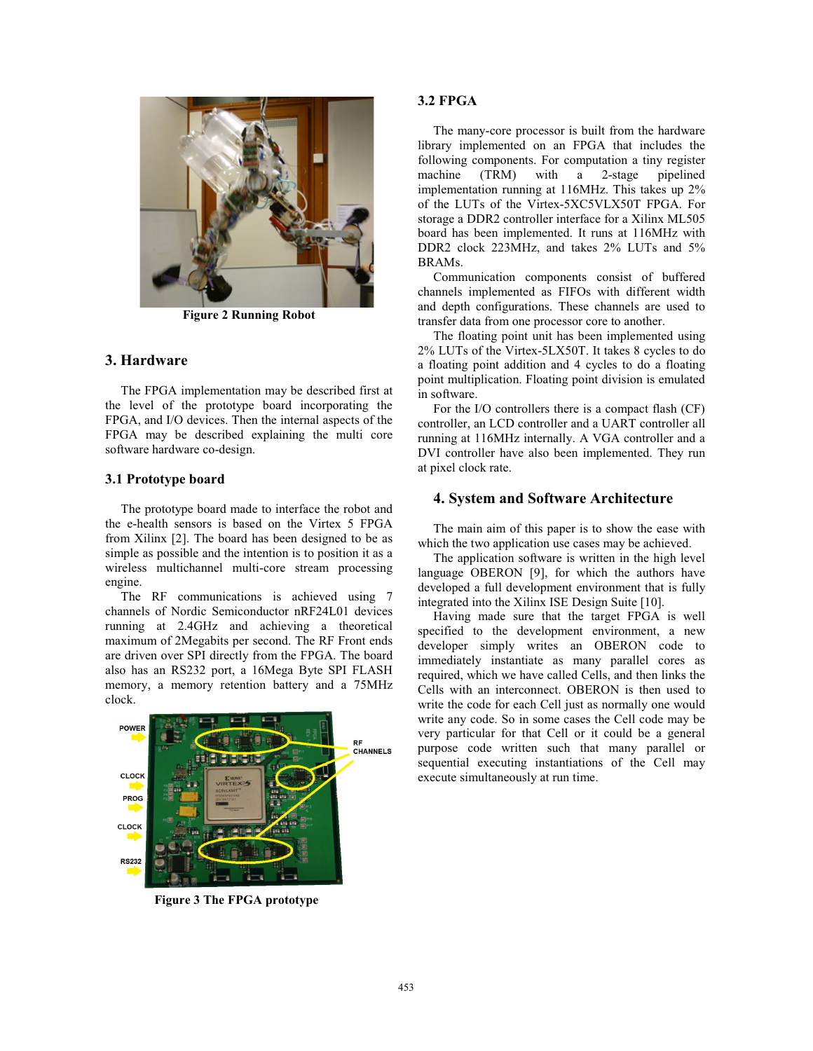

**Figure 2 Running Robot**

# **3. Hardware**

The FPGA implementation may be described first at the level of the prototype board incorporating the FPGA, and I/O devices. Then the internal aspects of the FPGA may be described explaining the multi core software hardware co-design.

### **3.1 Prototype board**

The prototype board made to interface the robot and the e-health sensors is based on the Virtex 5 FPGA from Xilinx [2]. The board has been designed to be as simple as possible and the intention is to position it as a wireless multichannel multi-core stream processing engine.

The RF communications is achieved using 7 channels of Nordic Semiconductor nRF24L01 devices running at 2.4GHz and achieving a theoretical maximum of 2Megabits per second. The RF Front ends are driven over SPI directly from the FPGA. The board also has an RS232 port, a 16Mega Byte SPI FLASH memory, a memory retention battery and a 75MHz clock.



**Figure 3 The FPGA prototype** 

# **3.2 FPGA**

The many-core processor is built from the hardware library implemented on an FPGA that includes the following components. For computation a tiny register machine (TRM) with a 2-stage pipelined implementation running at 116MHz. This takes up 2% of the LUTs of the Virtex-5XC5VLX50T FPGA. For storage a DDR2 controller interface for a Xilinx ML505 board has been implemented. It runs at 116MHz with DDR2 clock 223MHz, and takes 2% LUTs and 5% BRAMs.

Communication components consist of buffered channels implemented as FIFOs with different width and depth configurations. These channels are used to transfer data from one processor core to another.

The floating point unit has been implemented using 2% LUTs of the Virtex-5LX50T. It takes 8 cycles to do a floating point addition and 4 cycles to do a floating point multiplication. Floating point division is emulated in software.

For the I/O controllers there is a compact flash (CF) controller, an LCD controller and a UART controller all running at 116MHz internally. A VGA controller and a DVI controller have also been implemented. They run at pixel clock rate.

## **4. System and Software Architecture**

The main aim of this paper is to show the ease with which the two application use cases may be achieved.

The application software is written in the high level language OBERON [9], for which the authors have developed a full development environment that is fully integrated into the Xilinx ISE Design Suite [10].

Having made sure that the target FPGA is well specified to the development environment, a new developer simply writes an OBERON code to immediately instantiate as many parallel cores as required, which we have called Cells, and then links the Cells with an interconnect. OBERON is then used to write the code for each Cell just as normally one would write any code. So in some cases the Cell code may be very particular for that Cell or it could be a general purpose code written such that many parallel or sequential executing instantiations of the Cell may execute simultaneously at run time.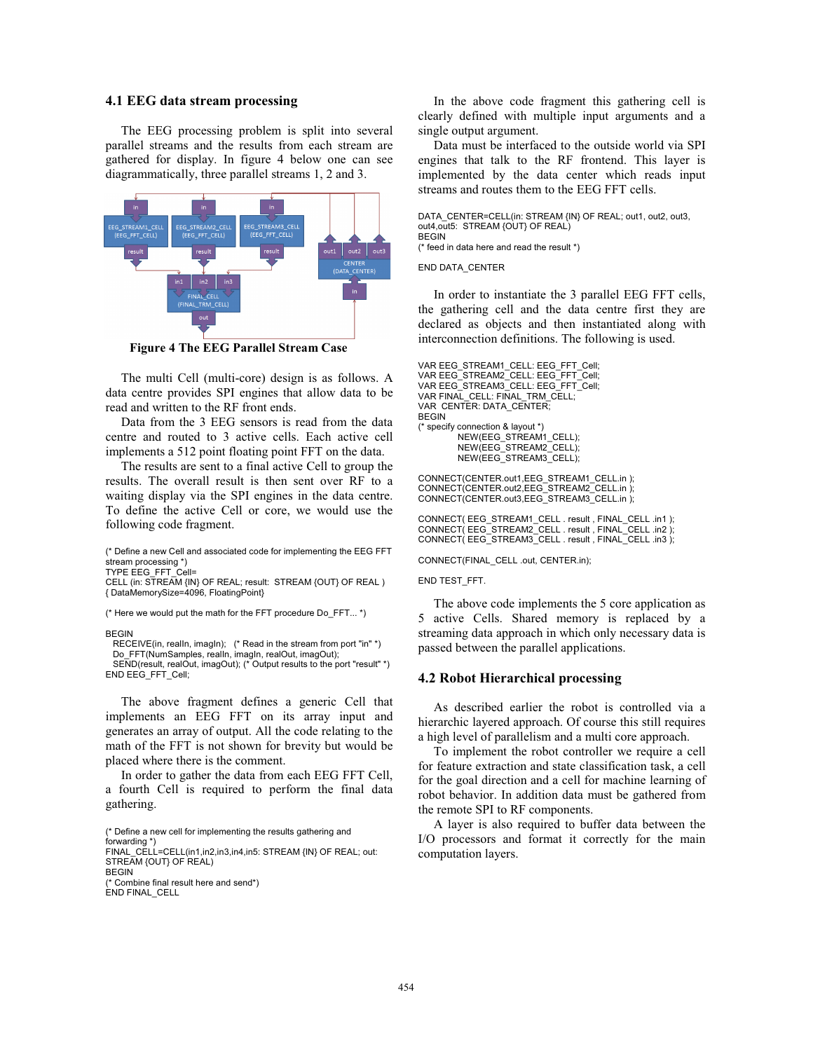### **4.1 EEG data stream processing**

The EEG processing problem is split into several parallel streams and the results from each stream are gathered for display. In figure 4 below one can see diagrammatically, three parallel streams 1, 2 and 3.



**Figure 4 The EEG Parallel Stream Case** 

The multi Cell (multi-core) design is as follows. A data centre provides SPI engines that allow data to be read and written to the RF front ends.

Data from the 3 EEG sensors is read from the data centre and routed to 3 active cells. Each active cell implements a 512 point floating point FFT on the data.

The results are sent to a final active Cell to group the results. The overall result is then sent over RF to a waiting display via the SPI engines in the data centre. To define the active Cell or core, we would use the following code fragment.

(\* Define a new Cell and associated code for implementing the EEG FFT stream processing \*) TYPE EEG\_FFT\_Cell=

CELL (in: STREAM {IN} OF REAL; result: STREAM {OUT} OF REAL ) { DataMemorySize=4096, FloatingPoint}

(\* Here we would put the math for the FFT procedure Do\_FFT... \*)

#### **BEGIN**

RECEIVE(in, realIn, imagIn); (\* Read in the stream from port "in" \*) Do\_FFT(NumSamples, realIn, imagIn, realOut, imagOut); SEND(result, realOut, imagOut); (\* Output results to the port "result" \*)

END EEG\_FFT\_Cell;

The above fragment defines a generic Cell that implements an EEG FFT on its array input and generates an array of output. All the code relating to the math of the FFT is not shown for brevity but would be placed where there is the comment.

In order to gather the data from each EEG FFT Cell, a fourth Cell is required to perform the final data gathering.

(\* Define a new cell for implementing the results gathering and

forwarding \*) FINAL\_CELL=CELL(in1,in2,in3,in4,in5: STREAM {IN} OF REAL; out: STREAM {OUT} OF REAL)

BEGIN (\* Combine final result here and send\*) END FINAL\_CELL

In the above code fragment this gathering cell is clearly defined with multiple input arguments and a single output argument.

Data must be interfaced to the outside world via SPI engines that talk to the RF frontend. This layer is implemented by the data center which reads input streams and routes them to the EEG FFT cells.

DATA\_CENTER=CELL(in: STREAM {IN} OF REAL; out1, out2, out3, out4,out5: STREAM {OUT} OF REAL) BEGIN (\* feed in data here and read the result \*)

#### END DATA\_CENTER

In order to instantiate the 3 parallel EEG FFT cells, the gathering cell and the data centre first they are declared as objects and then instantiated along with interconnection definitions. The following is used.

VAR EEG\_STREAM1\_CELL: EEG\_FFT\_Cell; VAR EEG\_STREAM2\_CELL: EEG\_FFT\_Cell; VAR EEG\_STREAM3\_CELL: EEG\_FFT\_Cell; VAR FINAL\_CELL: FINAL\_TRM\_CELL; VAR CENTER: DATA\_CENTER; BEGIN (\* specify connection & layout \*) NEW(EEG\_STREAM1\_CELL); NEW(EEG\_STREAM2\_CELL); NEW(EEG\_STREAM3\_CELL);

CONNECT(CENTER.out1,EEG\_STREAM1\_CELL.in ); CONNECT(CENTER.out2,EEG\_STREAM2\_CELL.in ); CONNECT(CENTER.out3,EEG\_STREAM3\_CELL.in );

CONNECT( EEG\_STREAM1\_CELL . result , FINAL\_CELL .in1 ); CONNECT( EEG\_STREAM2\_CELL . result , FINAL\_CELL .in2 ); CONNECT( EEG\_STREAM3\_CELL . result , FINAL\_CELL .in3 );

CONNECT(FINAL\_CELL .out, CENTER.in);

#### END TEST\_FFT.

The above code implements the 5 core application as 5 active Cells. Shared memory is replaced by a streaming data approach in which only necessary data is passed between the parallel applications.

#### **4.2 Robot Hierarchical processing**

As described earlier the robot is controlled via a hierarchic layered approach. Of course this still requires a high level of parallelism and a multi core approach.

To implement the robot controller we require a cell for feature extraction and state classification task, a cell for the goal direction and a cell for machine learning of robot behavior. In addition data must be gathered from the remote SPI to RF components.

A layer is also required to buffer data between the I/O processors and format it correctly for the main computation layers.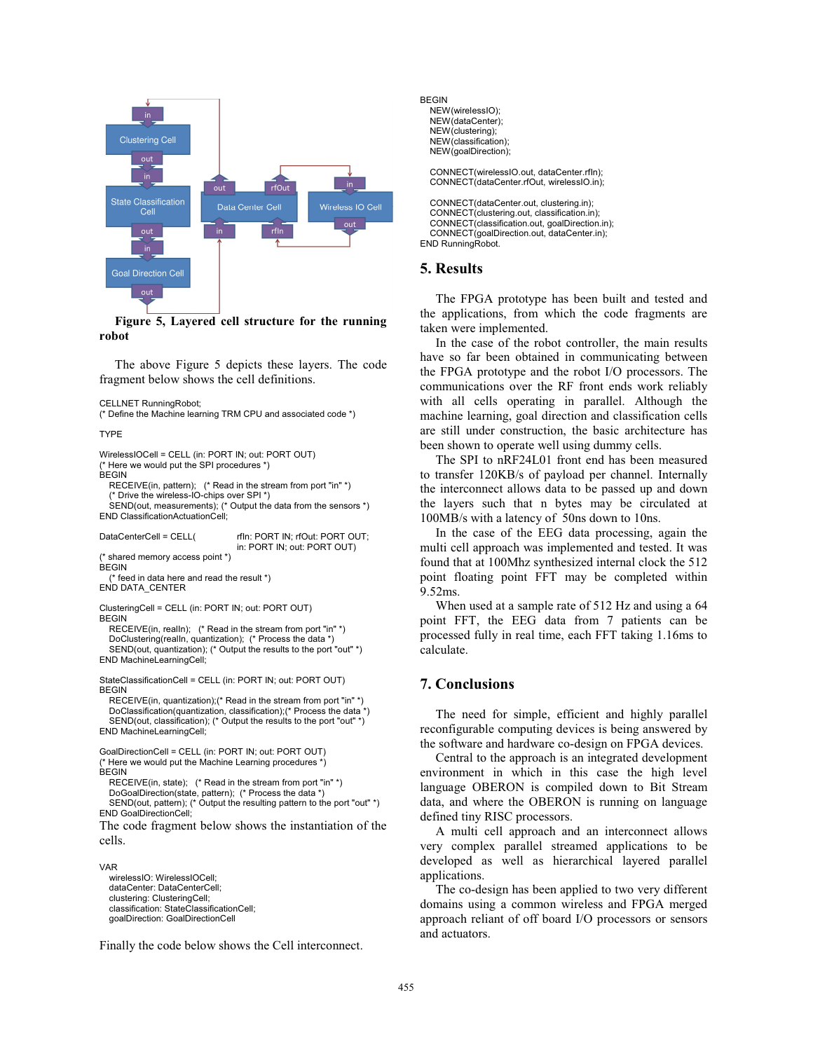

**Figure 5, Layered cell structure for the running robot** 

The above Figure 5 depicts these layers. The code fragment below shows the cell definitions.

CELLNET RunningRobot;

(\* Define the Machine learning TRM CPU and associated code \*)

TYPE

WirelessIOCell = CELL (in: PORT IN; out: PORT OUT) (\* Here we would put the SPI procedures \*) **BEGIN** RECEIVE(in, pattern); (\* Read in the stream from port "in" \*)

 (\* Drive the wireless-IO-chips over SPI \*) SEND(out, measurements); (\* Output the data from the sensors \*) END ClassificationActuationCell;

DataCenterCell = CELL

rfIn: PORT IN; rfOut: PORT OUT; in: PORT IN; out: PORT OUT) (\* shared memory access point \*)

**BEGIN** (\* feed in data here and read the result \*)

END DATA\_CENTER ClusteringCell = CELL (in: PORT IN; out: PORT OUT)

**BEGIN** 

 RECEIVE(in, realIn); (\* Read in the stream from port "in" \*) DoClustering(realIn, quantization); (\* Process the data \*) SEND(out, quantization); (\* Output the results to the port "out" \*) END MachineLearningCell;

 StateClassificationCell = CELL (in: PORT IN; out: PORT OUT) **BEGIN** 

 RECEIVE(in, quantization);(\* Read in the stream from port "in" \*) DoClassification(quantization, classification);(\* Process the data \*) SEND(out, classification); (\* Output the results to the port "out" \*) END MachineLearningCell;

GoalDirectionCell = CELL (in: PORT IN; out: PORT OUT) (\* Here we would put the Machine Learning procedures \*) **BEGIN** 

 RECEIVE(in, state); (\* Read in the stream from port "in" \*) DoGoalDirection(state, pattern); (\* Process the data \*) SEND(out, pattern); (\* Output the resulting pattern to the port "out" \*) END GoalDirectionCell;

The code fragment below shows the instantiation of the cells.

VAR

 wirelessIO: WirelessIOCell; dataCenter: DataCenterCell; clustering: ClusteringCell; classification: StateClassificationCell; goalDirection: GoalDirectionCell

Finally the code below shows the Cell interconnect.

**BEGIN**  NEW(wirelessIO); NEW(dataCenter); NEW(clustering); NEW(classification); NEW(goalDirection);

> CONNECT(wirelessIO.out, dataCenter.rfIn); CONNECT(dataCenter.rfOut, wirelessIO.in);

 CONNECT(dataCenter.out, clustering.in); CONNECT(clustering.out, classification.in); CONNECT(classification.out, goalDirection.in); CONNECT(goalDirection.out, dataCenter.in); END RunningRobot.

# **5. Results**

The FPGA prototype has been built and tested and the applications, from which the code fragments are taken were implemented.

In the case of the robot controller, the main results have so far been obtained in communicating between the FPGA prototype and the robot I/O processors. The communications over the RF front ends work reliably with all cells operating in parallel. Although the machine learning, goal direction and classification cells are still under construction, the basic architecture has been shown to operate well using dummy cells.

The SPI to nRF24L01 front end has been measured to transfer 120KB/s of payload per channel. Internally the interconnect allows data to be passed up and down the layers such that n bytes may be circulated at 100MB/s with a latency of 50ns down to 10ns.

In the case of the EEG data processing, again the multi cell approach was implemented and tested. It was found that at 100Mhz synthesized internal clock the 512 point floating point FFT may be completed within 9.52ms.

When used at a sample rate of 512 Hz and using a 64 point FFT, the EEG data from 7 patients can be processed fully in real time, each FFT taking 1.16ms to calculate.

# **7. Conclusions**

The need for simple, efficient and highly parallel reconfigurable computing devices is being answered by the software and hardware co-design on FPGA devices.

Central to the approach is an integrated development environment in which in this case the high level language OBERON is compiled down to Bit Stream data, and where the OBERON is running on language defined tiny RISC processors.

A multi cell approach and an interconnect allows very complex parallel streamed applications to be developed as well as hierarchical layered parallel applications.

The co-design has been applied to two very different domains using a common wireless and FPGA merged approach reliant of off board I/O processors or sensors and actuators.